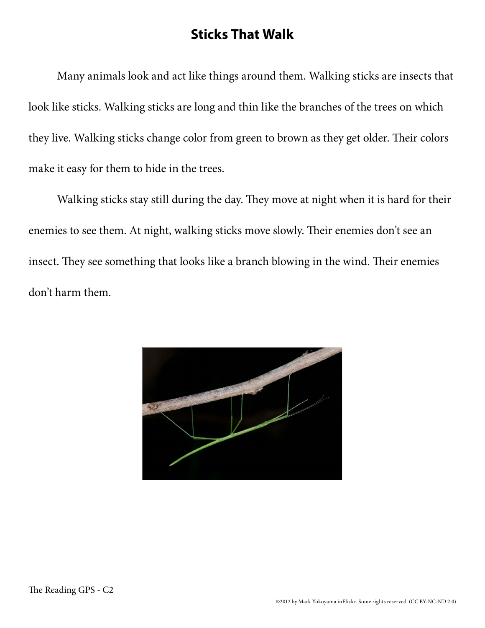## **Sticks That Walk**

Many animals look and act like things around them. Walking sticks are insects that look like sticks. Walking sticks are long and thin like the branches of the trees on which they live. Walking sticks change color from green to brown as they get older. Their colors make it easy for them to hide in the trees.

Walking sticks stay still during the day. They move at night when it is hard for their enemies to see them. At night, walking sticks move slowly. Their enemies don't see an insect. They see something that looks like a branch blowing in the wind. Their enemies don't harm them.